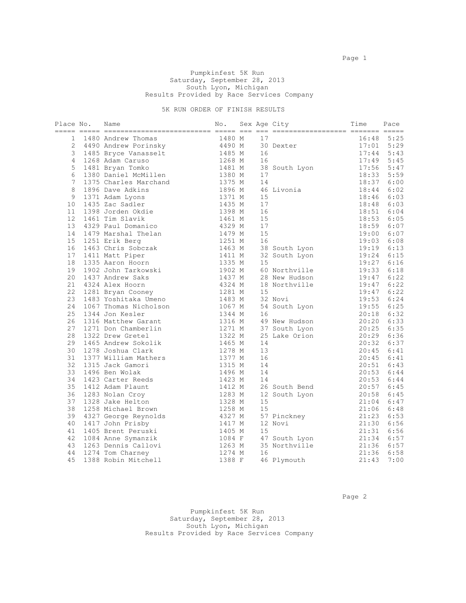Page 1 and 2 and 2 and 2 and 2 and 2 and 2 and 2 and 2 and 2 and 2 and 2 and 2 and 2 and 2 and 2 and 2 and 2 and 2 and 2 and 2 and 2 and 2 and 2 and 2 and 2 and 2 and 2 and 2 and 2 and 2 and 2 and 2 and 2 and 2 and 2 and 2

#### Pumpkinfest 5K Run Saturday, September 28, 2013 South Lyon, Michigan Results Provided by Race Services Company

### 5K RUN ORDER OF FINISH RESULTS

| Place No.       | Name                                                                                                                | No.              |          | Sex Age City        | Time           | Pace                   |
|-----------------|---------------------------------------------------------------------------------------------------------------------|------------------|----------|---------------------|----------------|------------------------|
| $\mathbf{1}$    |                                                                                                                     |                  |          |                     | 16:48          | 5:25                   |
| 2               | 1480 Andrew Thomas 1480 M<br>4490 Andrew Porinsky 1490 M                                                            |                  |          | 30 Dexter<br>16     | 17:01          | 5:29                   |
| 3               | 1485 Bryce Vanasselt                                                                                                |                  | 16       |                     | 17:44          | 5:43                   |
| $\overline{4}$  | 1485 M<br>1268 M<br>1481 M<br>en 1380 M<br>1268 Adam Caruso                                                         |                  | 16       |                     | $17:49$ 5:45   |                        |
| $\mathsf S$     | 1481 Bryan Tomko                                                                                                    |                  |          | 38 South Lyon       | 17:56          | 5:47                   |
| $\epsilon$      | 1380 Daniel McMillen                                                                                                |                  | 17       |                     | 18:33          | 5:59                   |
| $7\phantom{.0}$ | 1375 M<br>1375 Charles Marchand                                                                                     |                  | 14       |                     | 18:37          | 6:00                   |
| 8               | 1896 Dave Adkins                                                                                                    |                  |          | 46 Livonia          | 18:44          | 6:02                   |
| 9               | 1371 Adam Lyons                                                                                                     | 1896 M<br>1371 M | 15       |                     | 18:46          | 6:03                   |
| 10              |                                                                                                                     |                  | 17       |                     | 18:48          | 6:03                   |
| 11              | 1371 Adam Lyons<br>1435 Zac Sadler<br>1398 Jorden Okdie<br>1461 Tim Slavik 1461 M                                   |                  | 16       |                     | 18:51          | 6:04                   |
| 12              |                                                                                                                     |                  | 15       |                     | 18:53 6:05     |                        |
| 13              | 4329 Paul Domanico                                                                                                  | 4329 M<br>1479 M | 17       |                     |                | 18:59 6:07             |
| 14              | 1479 Marshal Thelan                                                                                                 |                  | 15       |                     | 19:00 6:07     |                        |
| 15              | 1251 Erik Berg<br>1251 Erik Berg<br>1463 Chris Sobczak                                                              | 1251 M           | 16       |                     | 19:03 6:08     |                        |
| 16              |                                                                                                                     | 1463 M           |          | 38 South Lyon       | $19:19$ $6:13$ |                        |
| 17              | 1411 M<br>1335 M<br>1902 M<br>1411 Matt Piper                                                                       |                  |          | 32 South Lyon       | 19:24          | 6:15                   |
| 18              | 1335 Aaron Hoorn                                                                                                    |                  | 15       |                     | 19:27          | 6:16                   |
| 19              | 1902 John Tarkowski                                                                                                 | $1902$ M         |          | 60 Northville       | $19:33$ $6:18$ |                        |
| 20              | 1437 Andrew Saks                                                                                                    | 1437 M<br>4324 M |          | 28 New Hudson       | 19:47          | 6:22                   |
| 21              | 4324 Alex Hoorn                                                                                                     |                  |          | 18 Northville       | 19:47          | 6:22                   |
| 22              | $1281$ M<br>1281 Bryan Cooney                                                                                       |                  | 15       |                     | 19:47          | 6:22                   |
| 23              | 1483 Yoshitaka Umeno 1483 M<br>1067 Thomas Nicholson 1067 M<br>1344 Jon Kesler 1344 M<br>1316 Matthew Garant 1316 M |                  |          | 32 Novi             | 19:53          | 6:24                   |
| 24              |                                                                                                                     |                  |          | 54 South Lyon       | $19:55$ $6:25$ |                        |
| 25              |                                                                                                                     | 1344 M<br>1316 M | 16       |                     | 20:18          | 6:32                   |
| 26              | 1316 Matthew Garant                                                                                                 |                  |          | 49 New Hudson       | 20:20 6:33     |                        |
| 27              | 1271 Don Chamberlin                                                                                                 | 1271 M           |          | 37 South Lyon       | 20:25          | 6:35                   |
| 28              | 1322 Drew Gretel                                                                                                    | 1322 M           |          | 25 Lake Orion       |                | $20:29$ $6:36$         |
| 29              | 1465 Andrew Sokolik                                                                                                 | 1465 M           | 14       |                     | 20:32          | 6:37                   |
| 30<br>31        | 1278 Joshua Clark                                                                                                   | 1278 M<br>1377 M | 13<br>16 |                     | 20:45          | 6:41<br>$20:45$ $6:41$ |
| 32              | 1377 William Mathers<br>1315 Jack Gamori                                                                            | 1315 M           | 14       |                     | 20:51          | 6:43                   |
| 33              | 1496 Ben Wolak                                                                                                      | 1496 M           | 14       |                     |                | $20:53$ 6:44           |
| 34              | 1423 M<br>1423 Carter Reeds                                                                                         |                  | 14       |                     | $20:53$ 6:44   |                        |
| 35              | 1412 Adam Plaunt                                                                                                    | 1412 M           |          | 26 South Bend       | 20:57          | 6:45                   |
| 36              | 1283 Nolan Croy                                                                                                     | $1283$ M         |          | 12 South Lyon<br>15 | $20:58$ 6:45   |                        |
| 37              | 1328 Jake Helton                                                                                                    | 1328 M           |          |                     | 21:04          | 6:47                   |
| 38              | 1258 Michael Brown                                                                                                  | 1258 M           | 15       |                     |                | $21:06$ $6:48$         |
| 39              | 4327 George Reynolds                                                                                                | 4327 M           |          | 57 Pinckney         | $21:23$ 6:53   |                        |
| 40              | 1417 John Prisby                                                                                                    | 1417 M           |          | 12 Novi             | 21:30          | 6:56                   |
| 41              | 1405 Brent Peruski                                                                                                  | 1405 M           | 15       |                     | 21:31          | 6:56                   |
| 42              | 1084 Anne Symanzik                                                                                                  | 1084 F           |          | 47 South Lyon       | $21:34$ 6:57   |                        |
| 43              | 1263 Dennis Callovi                                                                                                 | 1263 M           |          | 35 Northville       | 21:36 6:57     |                        |
| 44              | 1274 Tom Charney                                                                                                    |                  | 16       |                     | 21:36          | 6:58                   |
| 45              | 1263 M<br>1274 M<br>1388 F<br>1388 Robin Mitchell                                                                   |                  |          | 46 Plymouth         | 21:43          | 7:00                   |

Page 2 and 2 and 2 and 2 and 2 and 2 and 2 and 2 and 2 and 2 and 2 and 2 and 2 and 2 and 2 and 2 and 2 and 2 and 2

 Pumpkinfest 5K Run Saturday, September 28, 2013 South Lyon, Michigan Results Provided by Race Services Company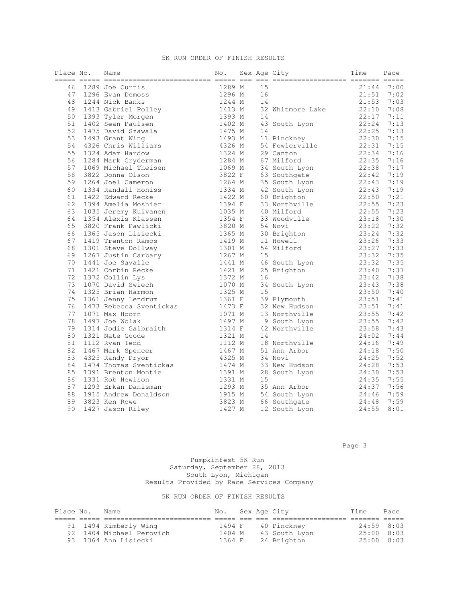# 5K RUN ORDER OF FINISH RESULTS

| Place No. | Name                                                 | No.              |    | Sex Age City                 | Time           | Pace         |
|-----------|------------------------------------------------------|------------------|----|------------------------------|----------------|--------------|
| 46        | $    -$<br>1289 M<br>1296 M<br>1289 Joe Curtis       |                  | 15 |                              | 21:44          | 7:00         |
| 47        | 1296 Evan Demoss                                     |                  | 16 |                              | 21:51          | 7:02         |
| 48        | 1244 Nick Banks                                      |                  | 14 |                              | 21:53          | 7:03         |
| 49        | 1413 Gabriel Polley                                  | 1413 M           |    | 32 Whitmore Lake             | 22:10          | 7:08         |
| 50        | 1393 Tyler Morgen                                    | 1393 M           | 14 |                              | 22:17          | 7:11         |
| 51        | 1402 Sean Paulsen                                    | 1402 M           |    | 43 South Lyon                | 22:24          | 7:13         |
| 52        | 1475 David Szawala                                   | 1475 M           | 14 |                              | 22:25          | 7:13         |
| 53        | 1493 Grant Wing                                      | 1493 M           |    | 11 Pinckney                  | 22:30          | 7:15         |
| 54        | 4326 Chris Williams                                  | 4326 M           |    | 54 Fowlerville               | 22:31          | 7:15         |
| 55        | 1324 Adam Hardow                                     | 1324 M           |    | 29 Canton                    | 22:34          | 7:16         |
| 56        | 1284 Mark Cryderman                                  | 1284 M           |    | 67 Milford                   | 22:35          | 7:16         |
| 57        | 1069 Michael Theisen                                 | 1069 M           |    | 34 South Lyon                | 22:38          | 7:17         |
| 58        | 3822 Donna Olson                                     | 3822 F           |    | 63 Southqate                 | 22:42          | 7:19         |
| 59        | 1264 Joel Cameron                                    | 1264 M           |    | 35 South Lyon                | 22:43          | 7:19         |
| 60        | 1334 Randall Honiss                                  | 1334 M           |    | 42 South Lyon                | 22:43          | 7:19         |
| 61        | 1422 Edward Recke                                    | 1422 M           |    | 60 Brighton                  | 22:50          | 7:21         |
| 62        | 1394 Amelia Moshier                                  | 1394 F           |    | 33 Northville                | 22:55          | 7:23         |
| 63        | 1035 Jeremy Kuivanen                                 | 1035 M           |    | 40 Milford                   | 22:55          | 7:23         |
| 64        | 1354 Alexis Klassen                                  | 1354 F           |    | 33 Woodville                 | 23:18          | 7:30         |
| 65        | 3820 Frank Pawlicki                                  | 3820 M           |    | 54 Novi                      | 23:22          | 7:32         |
| 66        | 1365 Jason Lisiecki                                  | 1365 M           |    | 30 Brighton                  | 23:24          | 7:32         |
| 67        | 1419 Trenton Ramos                                   | 1419 M           |    | 11 Howell                    | 23:26          | 7:33         |
| 68        | 1301 Steve Dollway                                   | 1301 M           |    | 54 Milford                   | 23:27          | 7:33         |
| 69        | 1267 Justin Carbary                                  | 1267 M           | 15 |                              | 23:32          | 7:35         |
| 70<br>71  | 1441 Joe Savalle                                     | 1441 M           |    | 46 South Lyon                | 23:32<br>23:40 | 7:35         |
| 72        | 1421 Corbin Recke                                    | 1421 M           |    | 25 Brighton                  |                | 7:37         |
| 73        | 1372 Collin Lys                                      | 1372 M<br>1070 M | 16 |                              | 23:42<br>23:43 | 7:38<br>7:38 |
| 74        | 1070 David Swiech<br>1325 Brian Harmon               | 1325 M           | 15 | 34 South Lyon                | 23:50          | 7:40         |
| 75        |                                                      | 1361 F           |    |                              | 23:51          | 7:41         |
| 76        | 1361 Jenny Lendrum<br>1473 Rebecca Sventickas 1473 F |                  |    | 39 Plymouth<br>32 New Hudson | 23:51          | 7:41         |
| 77        | 1071 Max Hoorn                                       | 1071 M           |    | 13 Northville                | 23:55          | 7:42         |
| 78        | 1497 Joe Wolak                                       | 1497 M           |    | 9 South Lyon                 | 23:55          | 7:42         |
| 79        | 1314 Jodie Galbraith                                 | 1314 F           |    | 42 Northville                | 23:58          | 7:43         |
| 80        | 1321 Nate Goode                                      | 1321 M           | 14 |                              | 24:02          | 7:44         |
| 81        | 1112 Ryan Tedd                                       | 1112 M           |    | 18 Northville                | 24:16          | 7:49         |
| 82        | 1467 Mark Spencer                                    | 1467 M           |    | 51 Ann Arbor                 | 24:18          | 7:50         |
| 83        | 4325 Randy Pryor                                     | 4325 M           |    | 34 Novi                      | 24:25          | 7:52         |
| 84        | 1474 Thomas Sventickas                               | 1474 M           |    | 33 New Hudson                | 24:28          | 7:53         |
| 85        | 1391 Brenton Montie                                  | 1391 M           |    | 28 South Lyon                | 24:30          | 7:53         |
| 86        | 1331 Rob Hewison                                     | 1331 M           | 15 |                              | 24:35          | 7:55         |
| 87        | 1293 Erkan Danisman                                  | 1293 M           |    | 35 Ann Arbor                 | 24:37          | 7:56         |
| 88        | 1915 Andrew Donaldson                                | 1915 M           |    | 54 South Lyon                | 24:46          | 7:59         |
| 89        | 3823 Ken Rowe                                        | 3823 M           |    | 66 Southgate                 | 24:48          | 7:59         |
| 90        | 1427 Jason Riley                                     | 1427 M           |    | 12 South Lyon                | 24:55          | 8:01         |
|           |                                                      |                  |    |                              |                |              |

Page 3 and 2012 and 2012 and 2012 and 2012 and 2012 and 2012 and 2012 and 2012 and 2012 and 2012 and 2012 and

#### Pumpkinfest 5K Run Saturday, September 28, 2013 South Lyon, Michigan Results Provided by Race Services Company

| Place No. | Name                     | No. Sex Age City |  |               | Time       | Pace |
|-----------|--------------------------|------------------|--|---------------|------------|------|
|           |                          |                  |  |               |            |      |
|           | 91 1494 Kimberly Wing    | 1494 F           |  | 40 Pinckney   | 24:59 8:03 |      |
|           | 92 1404 Michael Perovich | 1404 M           |  | 43 South Lyon | 25:00 8:03 |      |
|           | 93 1364 Ann Lisiecki     | 1364 F           |  | 24 Brighton   | 25:00 8:03 |      |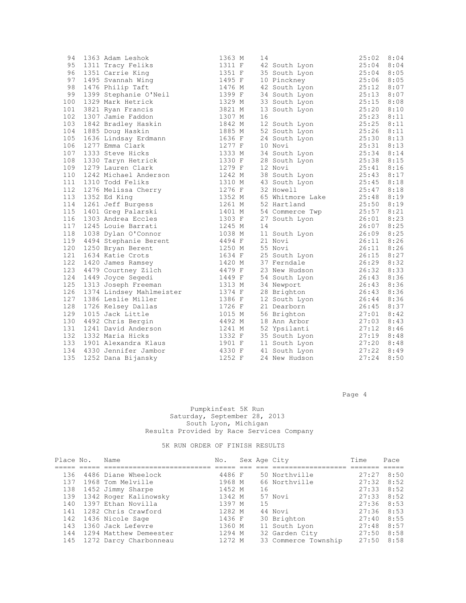| 94  | 1363 Adam Leshok                                                                           | 1363 M                                 | 14                                                 | 25:02          | 8:04 |
|-----|--------------------------------------------------------------------------------------------|----------------------------------------|----------------------------------------------------|----------------|------|
| 95  | 1311 Tracy Feliks                                                                          | 1311 F                                 | 42 South Lyon                                      | 25:04          | 8:04 |
| 96  | 1351 Carrie King                                                                           | 1351 F                                 | 35 South Lyon                                      | 25:04          | 8:05 |
| 97  | 1495 Svannah Wing                                                                          | 1495 F                                 | 10 Pinckney                                        | 25:06          | 8:05 |
| 98  | 1476 Philip Taft                                                                           | 1476 M                                 | 42 South Lyon                                      | $25:12$ 8:07   |      |
| 99  | 1399 Stephanie O'Neil<br>1320 March W                                                      | 1399 F                                 | 34 South Lyon                                      | $25:13$ 8:07   |      |
| 100 | 1329 Mark Hetrick                                                                          | 1329 M                                 | 33 South Lyon                                      | 25:15          | 8:08 |
| 101 | 3821 Ryan Francis                                                                          | 3821 M                                 | 13 South Lyon                                      | 25:20          | 8:10 |
| 102 | 1307 Jamie Faddon                                                                          | 1307 M<br>1842 M<br>1885 M<br>1307 M   | 16                                                 | 25:23          | 8:11 |
| 103 | 1842 Bradley Haskin                                                                        |                                        | 12 South Lyon                                      | $25:25$ $8:11$ |      |
| 104 | 1885 Doug Haskin                                                                           |                                        | 52 South Lyon                                      | $25:26$ 8:11   |      |
| 105 | 1636 Lindsay Erdmann                                                                       | 1636 F                                 | 24 South Lyon                                      | 25:30 8:13     |      |
| 106 | 1277 Emma Clark                                                                            | $1277$ F<br>1333 M<br>1330 F<br>1279 F | 10 Novi                                            | 25:31          | 8:13 |
| 107 | 1333 Steve Hicks                                                                           |                                        | 34 South Lyon                                      | 25:34 8:14     |      |
| 108 | 1330 Taryn Hetrick                                                                         |                                        | 28 South Lyon                                      | 25:38 8:15     |      |
| 109 | 1279 Lauren Clark                                                                          |                                        | 12 Novi                                            | 25:41          | 8:16 |
| 110 | 1242 Michael Anderson 1242 M                                                               |                                        | 38 South Lyon 25:43 8:17                           |                |      |
| 111 | 1310 Todd Feliks                                                                           | 1310 M                                 | 43 South Lyon 25:45                                |                | 8:18 |
| 112 | 1276 Melissa Cherry<br>1352 Ed King                                                        | 1276 F<br>1352 M                       | 32 Howell                                          | 25:47 8:18     |      |
| 113 | 1352 Ed King                                                                               |                                        | 65 Whitmore Lake                                   | 25:48 8:19     |      |
| 114 | 1261 Jeff Burgess                                                                          | 1261 M                                 | 52 Hartland                                        | 25:50 8:19     |      |
| 115 | 1401 Greg Palarski                                                                         | 1401 M                                 | 54 Commerce Twp                                    | 25:57 8:21     |      |
| 116 | 1303 Andrea Eccles                                                                         | 1303 F                                 | 27 South Lyon                                      | 26:01          | 8:23 |
| 117 | 1245 Louie Barrati                                                                         |                                        | 14                                                 | 26:07 8:25     |      |
| 118 | 1038 Dylan O'Connor                                                                        | 1303 F<br>1245 M<br>1038 M             | 11 South Lyon<br>21 November                       | 26:09 8:25     |      |
| 119 | 4494 Stephanie Berent 4494 F                                                               |                                        | 21 Novi                                            | 26:11 8:26     |      |
| 120 | 1250 Bryan Berent                                                                          | 1250 M                                 | 55 Novi                                            | 26:11          | 8:26 |
| 121 | 1634 Katie Crots                                                                           | 1634 F<br>1420 M                       | 25 South Lyon 26:15 8:27<br>37 Ferndale 26:29 8:32 |                |      |
| 122 | 1420 James Ramsey                                                                          |                                        |                                                    |                |      |
| 123 | 4479 Courtney Zilch 4479 F                                                                 |                                        | 23 New Hudson                                      | 26:32 8:33     |      |
| 124 | 1449 Joyce Segedi                                                                          | 1449 F                                 | 54 South Lyon                                      | 26:43 8:36     |      |
| 125 | 1313 Joseph Freeman 1313 M<br>1374 Lindsey Mahlmeister 1374 F<br>1386 Leslie Miller 1386 F |                                        | 34 Newport                                         | 26:43          | 8:36 |
| 126 |                                                                                            |                                        | 28 Brighton                                        | 26:43 8:36     |      |
| 127 |                                                                                            |                                        | 12 South Lyon                                      | $26:44$ 8:36   |      |
| 128 | 1726 Kelsey Dallas                                                                         | $1726$ F                               | 21 Dearborn                                        | 26:45 8:37     |      |
| 129 | 1015 Jack Little                                                                           | 1015 M                                 | 56 Brighton                                        | 27:01          | 8:42 |
| 130 | 4492 Chris Bergin                                                                          | 4492 M<br>1241 M                       | 18 Ann Arbor                                       | 27:03          | 8:43 |
| 131 | 1241 David Anderson<br>1332 Maria Hicks                                                    |                                        | 52 Ypsilanti                                       | $27:12$ 8:46   |      |
| 132 | 1332 Maria Hicks                                                                           | 1332 F                                 | 35 South Lyon                                      | $27:19$ 8:48   |      |
| 133 | 1901 Alexandra Klaus                                                                       | 1901 F                                 | 11 South Lyon 27:20 8:48                           |                |      |
| 134 | 4330 Jennifer Jambor                                                                       | 4330 F                                 | 41 South Lyon 27:22                                |                | 8:49 |
| 135 | 1252 Dana Bijansky                                                                         | 1252 F                                 | 24 New Hudson                                      | 27:24          | 8:50 |

Page 4

#### Pumpkinfest 5K Run Saturday, September 28, 2013 South Lyon, Michigan Results Provided by Race Services Company

| Place No. | Name                       | No.    |     | Sex Age City         | Time           | Pace |
|-----------|----------------------------|--------|-----|----------------------|----------------|------|
|           |                            |        |     |                      |                |      |
| 136       | 4486 Diane Wheelock        | 4486 F |     | 50 Northville        | 27:27          | 8:50 |
| 137       | 1968 Tom Melville          | 1968 M |     | 66 Northville        | 27:32          | 8:52 |
| 138       | 1452 Jimmy Sharpe          | 1452 M | 16  |                      | 27:33          | 8:52 |
|           | 139 1342 Roger Kalinowsky  | 1342 M |     | 57 Novi              | $27:33$ $8:52$ |      |
| 140       | 1397 Ethan Novilla         | 1397 M | 1.5 |                      | $27:36$ 8:53   |      |
| 141       | 1282 Chris Crawford        | 1282 M |     | 44 Novi              | $27:36$ 8:53   |      |
|           | 142 1436 Nicole Sage       | 1436 F |     | 30 Brighton          | 27:40          | 8:55 |
| 143       | 1360 Jack Lefevre          | 1360 M |     | 11 South Lyon        | 27:48          | 8:57 |
| 144       | 1294 Matthew Demeester     | 1294 M |     | 32 Garden City       | 27:50          | 8:58 |
|           | 145 1272 Darcy Charbonneau | 1272 M |     | 33 Commerce Township | $27:50$ 8:58   |      |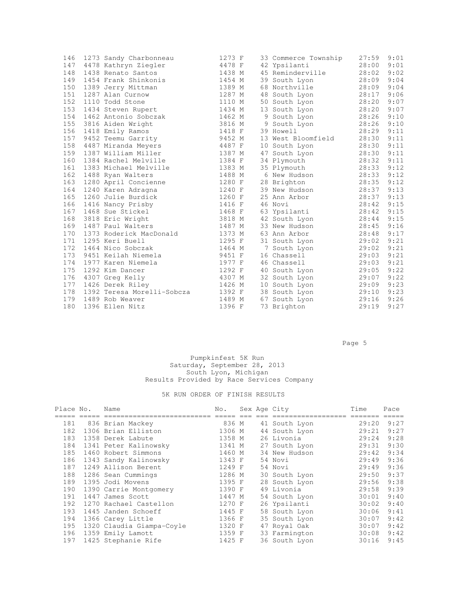| 146 | 1273 Sandy Charbonneau     | 1273 F |  | 33 Commerce Township | 27:59 | 9:01 |
|-----|----------------------------|--------|--|----------------------|-------|------|
| 147 | 4478 Kathryn Ziegler       | 4478 F |  | 42 Ypsilanti         | 28:00 | 9:01 |
| 148 | 1438 Renato Santos         | 1438 M |  | 45 Reminderville     | 28:02 | 9:02 |
| 149 | 1454 Frank Shinkonis       | 1454 M |  | 39 South Lyon        | 28:09 | 9:04 |
| 150 | 1389 Jerry Mittman         | 1389 M |  | 68 Northville        | 28:09 | 9:04 |
| 151 | 1287 Alan Curnow           | 1287 M |  | 48 South Lyon        | 28:17 | 9:06 |
| 152 | 1110 Todd Stone            | 1110 M |  | 50 South Lyon        | 28:20 | 9:07 |
| 153 | 1434 Steven Rupert         | 1434 M |  | 13 South Lyon        | 28:20 | 9:07 |
| 154 | 1462 Antonio Sobczak       | 1462 M |  | 9 South Lyon         | 28:26 | 9:10 |
| 155 | 3816 Aiden Wright          | 3816 M |  | 9 South Lyon         | 28:26 | 9:10 |
| 156 | 1418 Emily Ramos           | 1418 F |  | 39 Howell            | 28:29 | 9:11 |
| 157 | 9452 Teemu Garrity         | 9452 M |  | 13 West Bloomfield   | 28:30 | 9:11 |
| 158 | 4487 Miranda Meyers        | 4487 F |  | 10 South Lyon        | 28:30 | 9:11 |
| 159 | 1387 William Miller        | 1387 M |  | 47 South Lyon        | 28:30 | 9:11 |
| 160 | 1384 Rachel Melville       | 1384 F |  | 34 Plymouth          | 28:32 | 9:11 |
| 161 | 1383 Michael Melville      | 1383 M |  | 35 Plymouth          | 28:33 | 9:12 |
| 162 | 1488 Ryan Walters          | 1488 M |  | 6 New Hudson         | 28:33 | 9:12 |
| 163 | 1280 April Concienne       | 1280 F |  | 28 Brighton          | 28:35 | 9:12 |
| 164 | 1240 Karen Adragna         | 1240 F |  | 39 New Hudson        | 28:37 | 9:13 |
| 165 | 1260 Julie Burdick         | 1260 F |  | 25 Ann Arbor         | 28:37 | 9:13 |
| 166 | 1416 Nancy Prisby          | 1416 F |  | 46 Novi              | 28:42 | 9:15 |
| 167 | 1468 Sue Stickel           | 1468 F |  | 63 Ypsilanti         | 28:42 | 9:15 |
| 168 | 3818 Eric Wright           | 3818 M |  | 42 South Lyon        | 28:44 | 9:15 |
| 169 | 1487 Paul Walters          | 1487 M |  | 33 New Hudson        | 28:45 | 9:16 |
| 170 | 1373 Roderick MacDonald    | 1373 M |  | 63 Ann Arbor         | 28:48 | 9:17 |
| 171 | 1295 Keri Buell            | 1295 F |  | 31 South Lyon        | 29:02 | 9:21 |
| 172 | 1464 Nico Sobczak          | 1464 M |  | 7 South Lyon         | 29:02 | 9:21 |
| 173 | 9451 Keilah Niemela        | 9451 F |  | 16 Chassell          | 29:03 | 9:21 |
| 174 | 1977 Karen Niemela         | 1977 F |  | 46 Chassell          | 29:03 | 9:21 |
| 175 | 1292 Kim Dancer            | 1292 F |  | 40 South Lyon        | 29:05 | 9:22 |
| 176 | 4307 Greg Kelly            | 4307 M |  | 32 South Lyon        | 29:07 | 9:22 |
| 177 | 1426 Derek Riley           | 1426 M |  | 10 South Lyon        | 29:09 | 9:23 |
| 178 | 1392 Teresa Morelli-Sobcza | 1392 F |  | 38 South Lyon        | 29:10 | 9:23 |
| 179 | 1489 Rob Weaver            | 1489 M |  | 67 South Lyon        | 29:16 | 9:26 |
| 180 | 1396 Ellen Nitz            | 1396 F |  | 73 Brighton          | 29:19 | 9:27 |
|     |                            |        |  |                      |       |      |

#### Page 5 and 2012 and 2012 and 2012 and 2012 and 2012 and 2012 and 2012 and 2012 and 2012 and 2012 and 2012 and

#### Pumpkinfest 5K Run Saturday, September 28, 2013 South Lyon, Michigan Results Provided by Race Services Company

| Place No. | Name                      | No.    |  | Sex Age City  | Time  | Pace |
|-----------|---------------------------|--------|--|---------------|-------|------|
|           |                           |        |  |               |       |      |
| 181       | 836 Brian Mackey          | 836 M  |  | 41 South Lyon | 29:20 | 9:27 |
| 182       | 1306 Brian Elliston       | 1306 M |  | 44 South Lyon | 29:21 | 9:27 |
| 183       | 1358 Derek Labute         | 1358 M |  | 26 Livonia    | 29:24 | 9:28 |
| 184       | 1341 Peter Kalinowsky     | 1341 M |  | 27 South Lyon | 29:31 | 9:30 |
| 185       | 1460 Robert Simmons       | 1460 M |  | 34 New Hudson | 29:42 | 9:34 |
| 186       | 1343 Sandy Kalinowsky     | 1343 F |  | 54 Novi       | 29:49 | 9:36 |
| 187       | 1249 Allison Berent       | 1249 F |  | 54 Novi       | 29:49 | 9:36 |
| 188       | 1286 Sean Cummings        | 1286 M |  | 30 South Lyon | 29:50 | 9:37 |
| 189       | 1395 Jodi Movens          | 1395 F |  | 28 South Lyon | 29:56 | 9:38 |
| 190       | 1390 Carrie Montgomery    | 1390 F |  | 49 Livonia    | 29:58 | 9:39 |
| 191       | 1447 James Scott          | 1447 M |  | 54 South Lyon | 30:01 | 9:40 |
| 192       | 1270 Rachael Castellon    | 1270 F |  | 26 Ypsilanti  | 30:02 | 9:40 |
| 193       | 1445 Janden Schoeff       | 1445 F |  | 58 South Lyon | 30:06 | 9:41 |
| 194       | 1366 Carey Little         | 1366 F |  | 35 South Lyon | 30:07 | 9:42 |
| 195       | 1320 Claudia Giampa-Coyle | 1320 F |  | 47 Royal Oak  | 30:07 | 9:42 |
| 196       | 1359 Emily Lamott         | 1359 F |  | 33 Farmington | 30:08 | 9:42 |
| 197       | 1425 Stephanie Rife       | 1425 F |  | 36 South Lyon | 30:16 | 9:45 |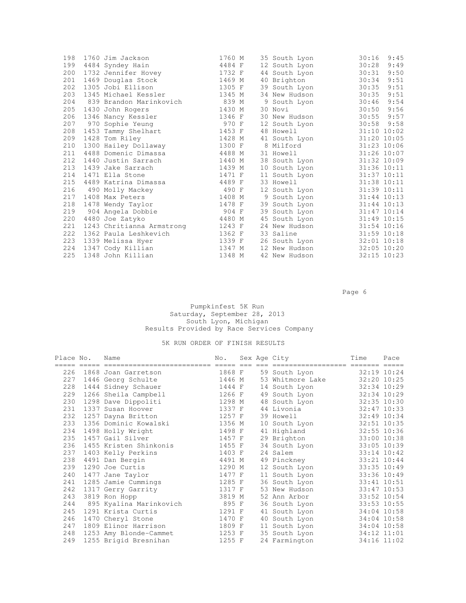| 198 | 1760 Jim Jackson          | 1760 M | 35 South Lyon | 30:16<br>9:45 |
|-----|---------------------------|--------|---------------|---------------|
| 199 | 4484 Syndey Hain          | 4484 F | 12 South Lyon | 30:28<br>9:49 |
| 200 | 1732 Jennifer Hovey       | 1732 F | 44 South Lyon | 30:31<br>9:50 |
| 201 | 1469 Douglas Stock        | 1469 M | 40 Brighton   | 30:34<br>9:51 |
| 202 | 1305 Jobi Ellison         | 1305 F | 39 South Lyon | 9:51<br>30:35 |
| 203 | 1345 Michael Kessler      | 1345 M | 34 New Hudson | 30:35<br>9:51 |
| 204 | 839 Brandon Marinkovich   | 839 M  | 9 South Lyon  | 30:46<br>9:54 |
| 205 | 1430 John Rogers          | 1430 M | 30 Novi       | 9:56<br>30:50 |
| 206 | 1346 Nancy Kessler        | 1346 F | 30 New Hudson | 9:57<br>30:55 |
| 207 | 970 Sophie Yeung          | 970 F  | 12 South Lyon | 30:58<br>9:58 |
| 208 | 1453 Tammy Shelhart       | 1453 F | 48 Howell     | 31:10 10:02   |
| 209 | 1428 Tom Riley            | 1428 M | 41 South Lyon | 31:20 10:05   |
| 210 | 1300 Hailey Dollaway      | 1300 F | 8 Milford     | 31:23 10:06   |
| 211 | 4488 Domenic Dimassa      | 4488 M | 31 Howell     | 31:26 10:07   |
| 212 | 1440 Justin Sarrach       | 1440 M | 38 South Lyon | 31:32 10:09   |
| 213 | 1439 Jake Sarrach         | 1439 M | 10 South Lyon | 31:36 10:11   |
| 214 | 1471 Ella Stone           | 1471 F | 11 South Lyon | 31:37 10:11   |
| 215 | 4489 Katrina Dimassa      | 4489 F | 33 Howell     | 31:38 10:11   |
| 216 | 490 Molly Mackey          | 490 F  | 12 South Lyon | 31:39 10:11   |
| 217 | 1408 Max Peters           | 1408 M | 9 South Lyon  | $31:44$ 10:13 |
| 218 | 1478 Wendy Taylor         | 1478 F | 39 South Lyon | 31:44 10:13   |
| 219 | 904 Angela Dobbie         | 904 F  | 39 South Lyon | 31:47 10:14   |
| 220 | 4480 Joe Zatyko           | 4480 M | 45 South Lyon | 31:49 10:15   |
| 221 | 1243 Chritianna Armstrong | 1243 F | 24 New Hudson | 31:54 10:16   |
| 222 | 1362 Paula Leshkevich     | 1362 F | 33 Saline     | 31:59 10:18   |
| 223 | 1339 Melissa Hyer         | 1339 F | 26 South Lyon | 32:01 10:18   |
| 224 | 1347 Cody Killian         | 1347 M | 12 New Hudson | 32:05 10:20   |
| 225 | 1348 John Killian         | 1348 M | 42 New Hudson | 32:15 10:23   |

Page 6 and the state of the state of the state of the state of the state of the state of the state of the state of the state of the state of the state of the state of the state of the state of the state of the state of the

#### Pumpkinfest 5K Run Saturday, September 28, 2013 South Lyon, Michigan Results Provided by Race Services Company

| Place No. | Name                    | No.    |  | Sex Age City     | Time        | Pace          |
|-----------|-------------------------|--------|--|------------------|-------------|---------------|
|           |                         |        |  | ---------------- |             |               |
| 226       | 1868 Joan Garretson     | 1868 F |  | 59 South Lyon    |             | 32:19 10:24   |
| 227       | 1446 Georg Schulte      | 1446 M |  | 53 Whitmore Lake |             | 32:20 10:25   |
| 228       | 1444 Sidney Schauer     | 1444 F |  | 14 South Lyon    | 32:34 10:29 |               |
| 229       | 1266 Sheila Campbell    | 1266 F |  | 49 South Lyon    | 32:34 10:29 |               |
| 230       | 1298 Dave Dippoliti     | 1298 M |  | 48 South Lyon    | 32:35 10:30 |               |
| 231       | 1337 Susan Hoover       | 1337 F |  | 44 Livonia       |             | $32:47$ 10:33 |
| 232       | 1257 Dayna Britton      | 1257 F |  | 39 Howell        |             | 32:49 10:34   |
| 233       | 1356 Dominic Kowalski   | 1356 M |  | 10 South Lyon    |             | 32:51 10:35   |
| 234       | 1498 Holly Wright       | 1498 F |  | 41 Highland      |             | 32:55 10:36   |
| 235       | 1457 Gail Silver        | 1457 F |  | 29 Brighton      |             | 33:00 10:38   |
| 236       | 1455 Kristen Shinkonis  | 1455 F |  | 34 South Lyon    | 33:05 10:39 |               |
| 237       | 1403 Kelly Perkins      | 1403 F |  | 24 Salem         |             | 33:14 10:42   |
| 238       | 4491 Dan Bergin         | 4491 M |  | 49 Pinckney      |             | 33:21 10:44   |
| 239       | 1290 Joe Curtis         | 1290 M |  | 12 South Lyon    | 33:35 10:49 |               |
| 240       | 1477 Jane Taylor        | 1477 F |  | 11 South Lyon    | 33:36 10:49 |               |
| 241       | 1285 Jamie Cummings     | 1285 F |  | 36 South Lyon    | 33:41 10:51 |               |
| 242       | 1317 Gerry Garrity      | 1317 F |  | 53 New Hudson    |             | 33:47 10:53   |
| 243       | 3819 Ron Hopp           | 3819 M |  | 52 Ann Arbor     |             | 33:52 10:54   |
| 244       | 895 Kyalina Marinkovich | 895 F  |  | 36 South Lyon    |             | 33:53 10:55   |
| 245       | 1291 Krista Curtis      | 1291 F |  | 41 South Lyon    |             | 34:04 10:58   |
| 246       | 1470 Cheryl Stone       | 1470 F |  | 40 South Lyon    |             | 34:04 10:58   |
| 247       | 1809 Elinor Harrison    | 1809 F |  | 11 South Lyon    |             | 34:04 10:58   |
| 248       | 1253 Amy Blonde-Cammet  | 1253 F |  | 35 South Lyon    |             | 34:12 11:01   |
| 249       | 1255 Brigid Bresnihan   | 1255 F |  | 24 Farmington    |             | 34:16 11:02   |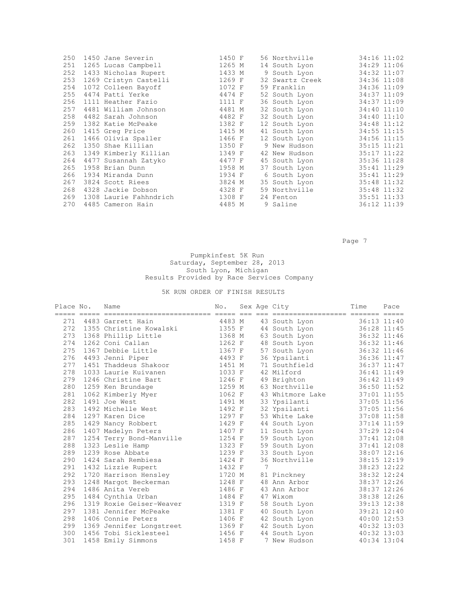|     | 250 | 1450 Jane Severin      | 1450 F |  | 56 Northville   |             | 34:16 11:02     |
|-----|-----|------------------------|--------|--|-----------------|-------------|-----------------|
| 251 |     | 1265 Lucas Campbell    | 1265 M |  | 14 South Lyon   |             | 34:29 11:06     |
| 252 |     | 1433 Nicholas Rupert   | 1433 M |  | 9 South Lyon    | 34:32 11:07 |                 |
| 253 |     | 1269 Cristyn Castelli  | 1269 F |  | 32 Swartz Creek | 34:36 11:08 |                 |
| 254 |     | 1072 Colleen Bayoff    | 1072 F |  | 59 Franklin     | 34:36 11:09 |                 |
| 255 |     | 4474 Patti Yerke       | 4474 F |  | 52 South Lyon   | 34:37 11:09 |                 |
| 256 |     | 1111 Heather Fazio     | 1111 F |  | 36 South Lyon   | 34:37 11:09 |                 |
| 257 |     | 4481 William Johnson   | 4481 M |  | 32 South Lyon   | 34:40 11:10 |                 |
| 258 |     | 4482 Sarah Johnson     | 4482 F |  | 32 South Lyon   | 34:40 11:10 |                 |
|     | 259 | 1382 Katie McPeake     | 1382 F |  | 12 South Lyon   |             | 34:48 11:12     |
| 260 |     | 1415 Greg Price        | 1415 M |  | 41 South Lyon   |             | 34:55 11:15     |
| 261 |     | 1466 Olivia Spaller    | 1466 F |  | 12 South Lyon   | 34:56 11:15 |                 |
| 262 |     | 1350 Shae Killian      | 1350 F |  | 9 New Hudson    | 35:15 11:21 |                 |
|     | 263 | 1349 Kimberly Killian  | 1349 F |  | 42 New Hudson   |             | $35:17$ $11:22$ |
|     | 264 | 4477 Susannah Zatyko   | 4477 F |  | 45 South Lyon   |             | 35:36 11:28     |
| 265 |     | 1958 Brian Dunn        | 1958 M |  | 37 South Lyon   | 35:41 11:29 |                 |
| 266 |     | 1934 Miranda Dunn      | 1934 F |  | 6 South Lyon    | 35:41 11:29 |                 |
| 267 |     | 3824 Scott Riees       | 3824 M |  | 35 South Lyon   |             | 35:48 11:32     |
| 268 |     | 4328 Jackie Dobson     | 4328 F |  | 59 Northville   |             | 35:48 11:32     |
| 269 |     | 1308 Laurie Fahhndrich | 1308 F |  | 24 Fenton       | 35:51 11:33 |                 |
| 270 |     | 4485 Cameron Hain      | 4485 M |  | 9 Saline        |             | 36:12 11:39     |
|     |     |                        |        |  |                 |             |                 |

 $P\bar{a}$  . The properties of the contract of the contract of the contract of the contract of the contract of the contract of the contract of the contract of the contract of the contract of the contract of the contract of

#### Pumpkinfest 5K Run Saturday, September 28, 2013 South Lyon, Michigan Results Provided by Race Services Company

| Place No. | Name                     | No.    |   | Sex Age City     | Time | Pace        |
|-----------|--------------------------|--------|---|------------------|------|-------------|
|           |                          |        |   |                  |      |             |
| 271       | 4483 Garrett Hain        | 4483 M |   | 43 South Lyon    |      | 36:13 11:40 |
| 272       | 1355 Christine Kowalski  | 1355 F |   | 44 South Lyon    |      | 36:28 11:45 |
| 273       | 1368 Phillip Little      | 1368 M |   | 63 South Lyon    |      | 36:32 11:46 |
| 274       | 1262 Coni Callan         | 1262 F |   | 48 South Lyon    |      | 36:32 11:46 |
| 275       | 1367 Debbie Little       | 1367 F |   | 57 South Lyon    |      | 36:32 11:46 |
| 276       | 4493 Jenni Piper         | 4493 F |   | 36 Ypsilanti     |      | 36:36 11:47 |
| 277       | 1451 Thaddeus Shakoor    | 1451 M |   | 71 Southfield    |      | 36:37 11:47 |
| 278       | 1033 Laurie Kuivanen     | 1033 F |   | 42 Milford       |      | 36:41 11:49 |
| 279       | 1246 Christine Bart      | 1246 F |   | 49 Brighton      |      | 36:42 11:49 |
| 280       | 1259 Ken Brundage        | 1259 M |   | 63 Northville    |      | 36:50 11:52 |
| 281       | 1062 Kimberly Myer       | 1062 F |   | 43 Whitmore Lake |      | 37:01 11:55 |
| 282       | 1491 Joe West            | 1491 M |   | 33 Ypsilanti     |      | 37:05 11:56 |
| 283       | 1492 Michelle West       | 1492 F |   | 32 Ypsilanti     |      | 37:05 11:56 |
| 284       | 1297 Karen Dice          | 1297 F |   | 53 White Lake    |      | 37:08 11:58 |
| 285       | 1429 Nancy Robbert       | 1429 F |   | 44 South Lyon    |      | 37:14 11:59 |
| 286       | 1407 Madelyn Peters      | 1407 F |   | 11 South Lyon    |      | 37:29 12:04 |
| 287       | 1254 Terry Bond-Manville | 1254 F |   | 59 South Lyon    |      | 37:41 12:08 |
| 288       | 1323 Leslie Hamp         | 1323 F |   | 59 South Lyon    |      | 37:41 12:08 |
| 289       | 1239 Rose Abbate         | 1239 F |   | 33 South Lyon    |      | 38:07 12:16 |
| 290       | 1424 Sarah Rembiesa      | 1424 F |   | 36 Northville    |      | 38:15 12:19 |
| 291       | 1432 Lizzie Rupert       | 1432 F | 7 |                  |      | 38:23 12:22 |
| 292       | 1720 Harrison Hensley    | 1720 M |   | 81 Pinckney      |      | 38:32 12:24 |
| 293       | 1248 Margot Beckerman    | 1248 F |   | 48 Ann Arbor     |      | 38:37 12:26 |
| 294       | 1486 Anita Vereb         | 1486 F |   | 43 Ann Arbor     |      | 38:37 12:26 |
| 295       | 1484 Cynthia Urban       | 1484 F |   | 47 Wixom         |      | 38:38 12:26 |
| 296       | 1319 Roxie Geiser-Weaver | 1319 F |   | 58 South Lyon    |      | 39:13 12:38 |
| 297       | 1381 Jennifer McPeake    | 1381 F |   | 40 South Lyon    |      | 39:21 12:40 |
| 298       | 1406 Connie Peters       | 1406 F |   | 42 South Lyon    |      | 40:00 12:53 |
| 299       | 1369 Jennifer Longstreet | 1369 F |   | 42 South Lyon    |      | 40:32 13:03 |
| 300       | 1456 Tobi Sicklesteel    | 1456 F |   | 44 South Lyon    |      | 40:32 13:03 |
| 301       | 1458 Emily Simmons       | 1458 F |   | 7 New Hudson     |      | 40:34 13:04 |